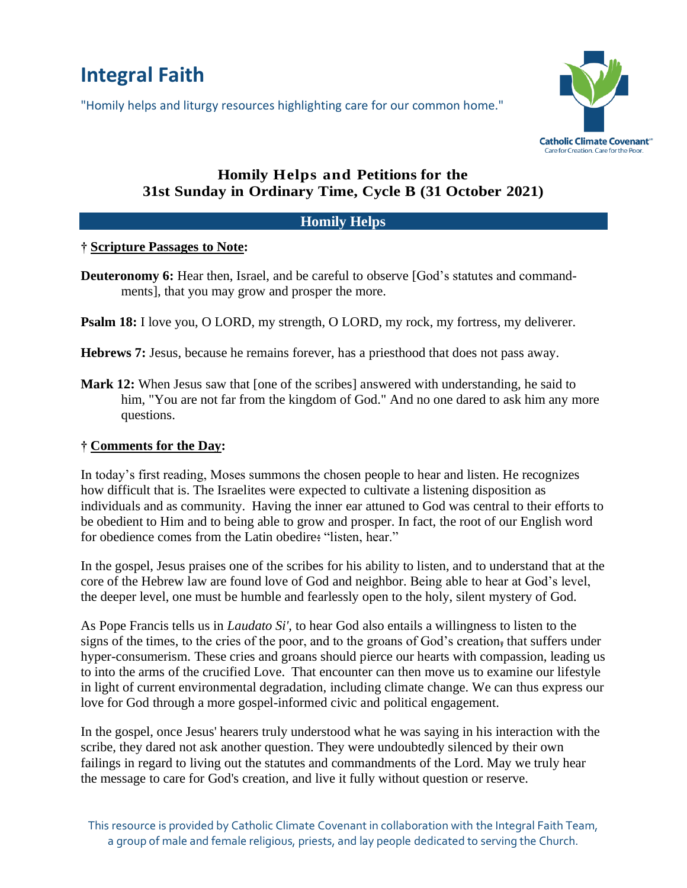# **Integral Faith**

"Homily helps and liturgy resources highlighting care for our common home."



# **Homily Helps and Petitions for the 31st Sunday in Ordinary Time, Cycle B (31 October 2021)**

## **Homily Helps**

#### **† Scripture Passages to Note:**

- **Deuteronomy 6:** Hear then, Israel, and be careful to observe [God's statutes and commandments], that you may grow and prosper the more.
- **Psalm 18:** I love you, O LORD, my strength, O LORD, my rock, my fortress, my deliverer.
- **Hebrews 7:** Jesus, because he remains forever, has a priesthood that does not pass away.
- **Mark 12:** When Jesus saw that [one of the scribes] answered with understanding, he said to him, "You are not far from the kingdom of God." And no one dared to ask him any more questions.

#### **† Comments for the Day:**

In today's first reading, Moses summons the chosen people to hear and listen. He recognizes how difficult that is. The Israelites were expected to cultivate a listening disposition as individuals and as community. Having the inner ear attuned to God was central to their efforts to be obedient to Him and to being able to grow and prosper. In fact, the root of our English word for obedience comes from the Latin obedire: "listen, hear."

In the gospel, Jesus praises one of the scribes for his ability to listen, and to understand that at the core of the Hebrew law are found love of God and neighbor. Being able to hear at God's level, the deeper level, one must be humble and fearlessly open to the holy, silent mystery of God.

As Pope Francis tells us in *Laudato Si'*, to hear God also entails a willingness to listen to the signs of the times, to the cries of the poor, and to the groans of God's creation, that suffers under hyper-consumerism. These cries and groans should pierce our hearts with compassion, leading us to into the arms of the crucified Love. That encounter can then move us to examine our lifestyle in light of current environmental degradation, including climate change. We can thus express our love for God through a more gospel-informed civic and political engagement.

In the gospel, once Jesus' hearers truly understood what he was saying in his interaction with the scribe, they dared not ask another question. They were undoubtedly silenced by their own failings in regard to living out the statutes and commandments of the Lord. May we truly hear the message to care for God's creation, and live it fully without question or reserve.